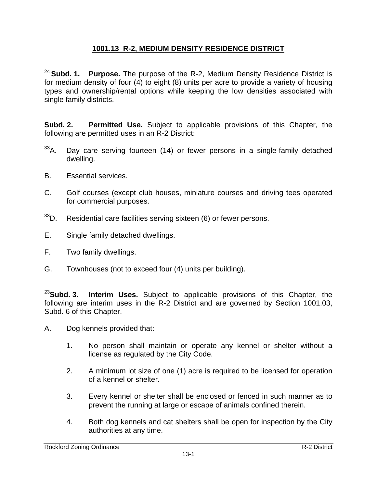## **1001.13 R-2, MEDIUM DENSITY RESIDENCE DISTRICT**

<sup>24</sup> Subd. 1. Purpose. The purpose of the R-2, Medium Density Residence District is for medium density of four (4) to eight (8) units per acre to provide a variety of housing types and ownership/rental options while keeping the low densities associated with single family districts.

**Subd. 2. Permitted Use.** Subject to applicable provisions of this Chapter, the following are permitted uses in an R-2 District:

- $33$ A. Day care serving fourteen (14) or fewer persons in a single-family detached dwelling.
- B. Essential services.
- C. Golf courses (except club houses, miniature courses and driving tees operated for commercial purposes.
- $33$ D. Residential care facilities serving sixteen (6) or fewer persons.
- E. Single family detached dwellings.
- F. Two family dwellings.
- G. Townhouses (not to exceed four (4) units per building).

<sup>23</sup>**Subd. 3. Interim Uses.** Subject to applicable provisions of this Chapter, the following are interim uses in the R-2 District and are governed by Section 1001.03, Subd. 6 of this Chapter.

- A. Dog kennels provided that:
	- 1. No person shall maintain or operate any kennel or shelter without a license as regulated by the City Code.
	- 2. A minimum lot size of one (1) acre is required to be licensed for operation of a kennel or shelter.
	- 3. Every kennel or shelter shall be enclosed or fenced in such manner as to prevent the running at large or escape of animals confined therein.
	- 4. Both dog kennels and cat shelters shall be open for inspection by the City authorities at any time.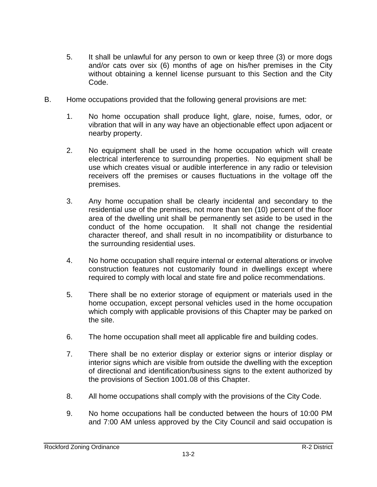- 5. It shall be unlawful for any person to own or keep three (3) or more dogs and/or cats over six (6) months of age on his/her premises in the City without obtaining a kennel license pursuant to this Section and the City Code.
- B. Home occupations provided that the following general provisions are met:
	- 1. No home occupation shall produce light, glare, noise, fumes, odor, or vibration that will in any way have an objectionable effect upon adjacent or nearby property.
	- 2. No equipment shall be used in the home occupation which will create electrical interference to surrounding properties. No equipment shall be use which creates visual or audible interference in any radio or television receivers off the premises or causes fluctuations in the voltage off the premises.
	- 3. Any home occupation shall be clearly incidental and secondary to the residential use of the premises, not more than ten (10) percent of the floor area of the dwelling unit shall be permanently set aside to be used in the conduct of the home occupation. It shall not change the residential character thereof, and shall result in no incompatibility or disturbance to the surrounding residential uses.
	- 4. No home occupation shall require internal or external alterations or involve construction features not customarily found in dwellings except where required to comply with local and state fire and police recommendations.
	- 5. There shall be no exterior storage of equipment or materials used in the home occupation, except personal vehicles used in the home occupation which comply with applicable provisions of this Chapter may be parked on the site.
	- 6. The home occupation shall meet all applicable fire and building codes.
	- 7. There shall be no exterior display or exterior signs or interior display or interior signs which are visible from outside the dwelling with the exception of directional and identification/business signs to the extent authorized by the provisions of Section 1001.08 of this Chapter.
	- 8. All home occupations shall comply with the provisions of the City Code.
	- 9. No home occupations hall be conducted between the hours of 10:00 PM and 7:00 AM unless approved by the City Council and said occupation is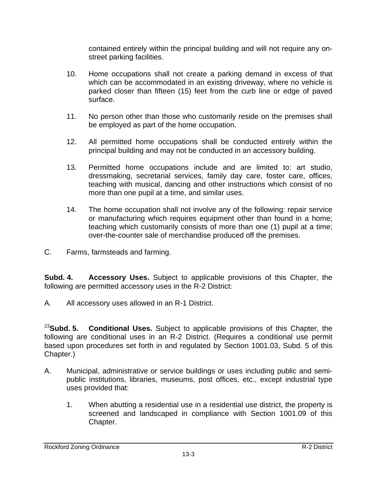contained entirely within the principal building and will not require any onstreet parking facilities.

- 10. Home occupations shall not create a parking demand in excess of that which can be accommodated in an existing driveway, where no vehicle is parked closer than fifteen (15) feet from the curb line or edge of paved surface.
- 11. No person other than those who customarily reside on the premises shall be employed as part of the home occupation.
- 12. All permitted home occupations shall be conducted entirely within the principal building and may not be conducted in an accessory building.
- 13. Permitted home occupations include and are limited to: art studio, dressmaking, secretarial services, family day care, foster care, offices, teaching with musical, dancing and other instructions which consist of no more than one pupil at a time, and similar uses.
- 14. The home occupation shall not involve any of the following: repair service or manufacturing which requires equipment other than found in a home; teaching which customarily consists of more than one (1) pupil at a time; over-the-counter sale of merchandise produced off the premises.
- C. Farms, farmsteads and farming.

**Subd. 4. Accessory Uses.** Subject to applicable provisions of this Chapter, the following are permitted accessory uses in the R-2 District:

A. All accessory uses allowed in an R-1 District.

<sup>23</sup>**Subd. 5. Conditional Uses.** Subject to applicable provisions of this Chapter, the following are conditional uses in an R-2 District. (Requires a conditional use permit based upon procedures set forth in and regulated by Section 1001.03, Subd. 5 of this Chapter.)

- A. Municipal, administrative or service buildings or uses including public and semipublic institutions, libraries, museums, post offices, etc., except industrial type uses provided that:
	- 1. When abutting a residential use in a residential use district, the property is screened and landscaped in compliance with Section 1001.09 of this Chapter.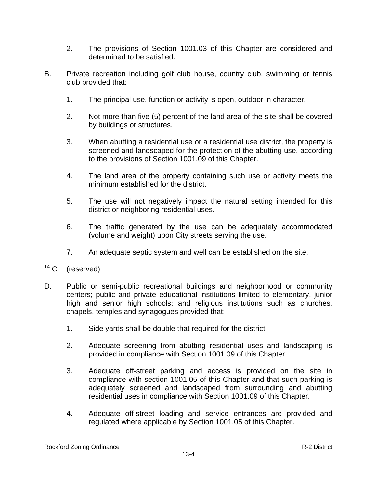- 2. The provisions of Section 1001.03 of this Chapter are considered and determined to be satisfied.
- B. Private recreation including golf club house, country club, swimming or tennis club provided that:
	- 1. The principal use, function or activity is open, outdoor in character.
	- 2. Not more than five (5) percent of the land area of the site shall be covered by buildings or structures.
	- 3. When abutting a residential use or a residential use district, the property is screened and landscaped for the protection of the abutting use, according to the provisions of Section 1001.09 of this Chapter.
	- 4. The land area of the property containing such use or activity meets the minimum established for the district.
	- 5. The use will not negatively impact the natural setting intended for this district or neighboring residential uses.
	- 6. The traffic generated by the use can be adequately accommodated (volume and weight) upon City streets serving the use.
	- 7. An adequate septic system and well can be established on the site.
- $14$  C. (reserved)
- D. Public or semi-public recreational buildings and neighborhood or community centers; public and private educational institutions limited to elementary, junior high and senior high schools; and religious institutions such as churches, chapels, temples and synagogues provided that:
	- 1. Side yards shall be double that required for the district.
	- 2. Adequate screening from abutting residential uses and landscaping is provided in compliance with Section 1001.09 of this Chapter.
	- 3. Adequate off-street parking and access is provided on the site in compliance with section 1001.05 of this Chapter and that such parking is adequately screened and landscaped from surrounding and abutting residential uses in compliance with Section 1001.09 of this Chapter.
	- 4. Adequate off-street loading and service entrances are provided and regulated where applicable by Section 1001.05 of this Chapter.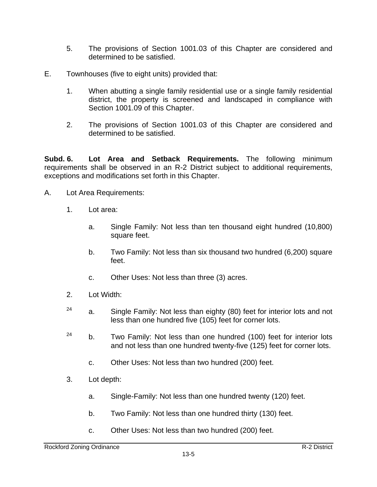- 5. The provisions of Section 1001.03 of this Chapter are considered and determined to be satisfied.
- E. Townhouses (five to eight units) provided that:
	- 1. When abutting a single family residential use or a single family residential district, the property is screened and landscaped in compliance with Section 1001.09 of this Chapter.
	- 2. The provisions of Section 1001.03 of this Chapter are considered and determined to be satisfied.

**Subd. 6. Lot Area and Setback Requirements.** The following minimum requirements shall be observed in an R-2 District subject to additional requirements, exceptions and modifications set forth in this Chapter.

- A. Lot Area Requirements:
	- 1. Lot area:
		- a. Single Family: Not less than ten thousand eight hundred (10,800) square feet.
		- b. Two Family: Not less than six thousand two hundred (6,200) square feet.
		- c. Other Uses: Not less than three (3) acres.
	- 2. Lot Width:
	- $24$  a. Single Family: Not less than eighty (80) feet for interior lots and not less than one hundred five (105) feet for corner lots.
	- $24$  b. Two Family: Not less than one hundred (100) feet for interior lots and not less than one hundred twenty-five (125) feet for corner lots.
		- c. Other Uses: Not less than two hundred (200) feet.
	- 3. Lot depth:
		- a. Single-Family: Not less than one hundred twenty (120) feet.
		- b. Two Family: Not less than one hundred thirty (130) feet.
		- c. Other Uses: Not less than two hundred (200) feet.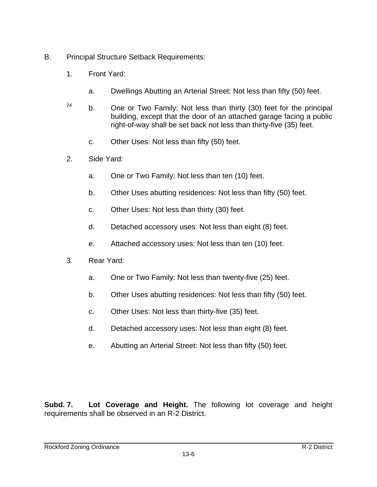- B. Principal Structure Setback Requirements:
	- 1. Front Yard:
		- a. Dwellings Abutting an Arterial Street: Not less than fifty (50) feet.
	- $24$  b. One or Two Family: Not less than thirty (30) feet for the principal building, except that the door of an attached garage facing a public right-of-way shall be set back not less than thirty-five (35) feet.
		- c. Other Uses: Not less than fifty (50) feet.
	- 2. Side Yard:
		- a. One or Two Family: Not less than ten (10) feet.
		- b. Other Uses abutting residences: Not less than fifty (50) feet.
		- c. Other Uses: Not less than thirty (30) feet.
		- d. Detached accessory uses: Not less than eight (8) feet.
		- e. Attached accessory uses: Not less than ten (10) feet.
	- 3. Rear Yard:
		- a. One or Two Family: Not less than twenty-five (25) feet.
		- b. Other Uses abutting residences: Not less than fifty (50) feet.
		- c. Other Uses: Not less than thirty-five (35) feet.
		- d. Detached accessory uses: Not less than eight (8) feet.
		- e. Abutting an Arterial Street: Not less than fifty (50) feet.

**Subd. 7. Lot Coverage and Height.** The following lot coverage and height requirements shall be observed in an R-2 District.